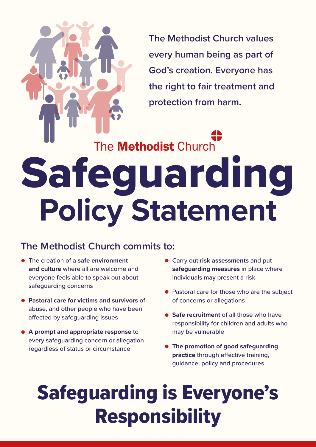**The Methodist Church values every human being as part of God's creation. Everyone has the right to fair treatment and protection from harm.**

The **Methodist** Church Safeguarding **Policy Statement**

# **The Methodist Church commits to:**

- The creation of a **safe environment and culture** where all are welcome and everyone feels able to speak out about safeguarding concerns
- **Pastoral care for victims and survivors** of abuse, and other people who have been affected by safeguarding issues
- **A prompt and appropriate response** to every safeguarding concern or allegation regardless of status or circumstance
- Carry out **risk assessments** and put **safeguarding measures** in place where individuals may present a risk
- Pastoral care for those who are the subject of concerns or allegations
- **Safe recruitment** of all those who have responsibility for children and adults who may be vulnerable
- **The promotion of good safeguarding practice** through effective training, guidance, policy and procedures

# Safeguarding is Everyone's Responsibility